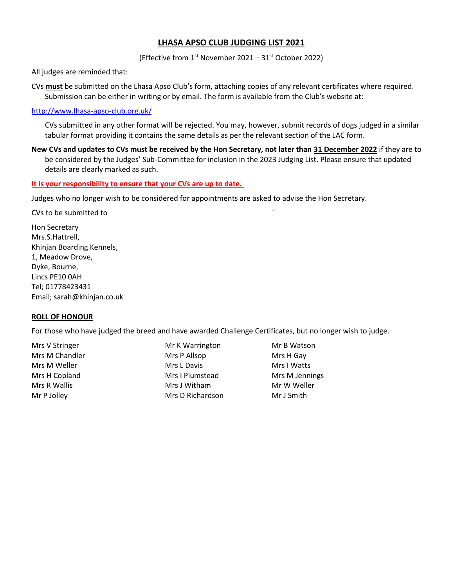# **LHASA APSO CLUB JUDGING LIST 2021**

(Effective from  $1^{st}$  November 2021 – 31 $^{st}$  October 2022)

All judges are reminded that:

CVs **must** be submitted on the Lhasa Apso Club's form, attaching copies of any relevant certificates where required. Submission can be either in writing or by email. The form is available from the Club's website at:

#### http://www.lhasa-apso-club.org.uk/

CVs submitted in any other format will be rejected. You may, however, submit records of dogs judged in a similar tabular format providing it contains the same details as per the relevant section of the LAC form.

**New CVs and updates to CVs must be received by the Hon Secretary, not later than 31 December 2022** if they are to be considered by the Judges' Sub-Committee for inclusion in the 2023 Judging List. Please ensure that updated details are clearly marked as such.

#### **It is your responsibility to ensure that your CVs are up to date.**

Judges who no longer wish to be considered for appointments are asked to advise the Hon Secretary.

CVs to be submitted to `

Hon Secretary Mrs.S.Hattrell, Khinjan Boarding Kennels, 1, Meadow Drove, Dyke, Bourne, Lincs PE10 0AH Tel; 01778423431 Email; sarah@khinjan.co.uk

## **ROLL OF HONOUR**

For those who have judged the breed and have awarded Challenge Certificates, but no longer wish to judge.

Mrs V Stringer **Mr K Warrington** Mr B Watson Mrs M Chandler **Mrs P Allsop** Mrs Mrs H Gay Mrs M Weller Mrs L Davis Mrs L Davis Mrs I Watts Mrs H Copland **Mrs I Plumstead** Mrs M Jennings Mrs R Wallis **Mrs J Witham** Mrs J Witham Mr W Weller Mr P Jolley **Mrs D Richardson** Mr J Smith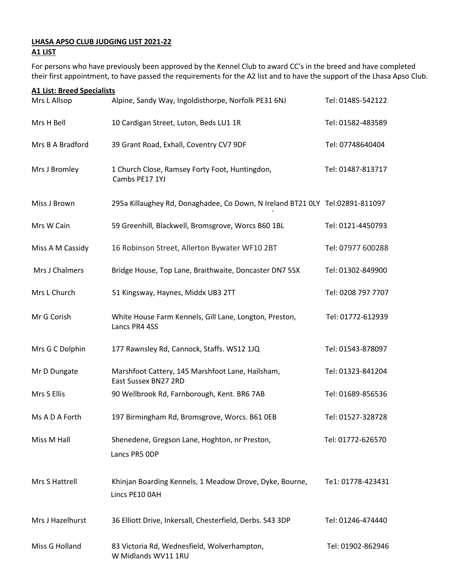# **LHASA APSO CLUB JUDGING LIST 2021-22 A1 LIST**

For persons who have previously been approved by the Kennel Club to award CC's in the breed and have completed their first appointment, to have passed the requirements for the A2 list and to have the support of the Lhasa Apso Club.

| <b>A1 List: Breed Specialists</b> |                                                                              |                    |  |  |
|-----------------------------------|------------------------------------------------------------------------------|--------------------|--|--|
| Mrs L Allsop                      | Alpine, Sandy Way, Ingoldisthorpe, Norfolk PE31 6NJ                          | Tel: 01485-542122  |  |  |
| Mrs H Bell                        | 10 Cardigan Street, Luton, Beds LU1 1R                                       | Tel: 01582-483589  |  |  |
| Mrs B A Bradford                  | 39 Grant Road, Exhall, Coventry CV7 9DF                                      | Tel: 07748640404   |  |  |
| Mrs J Bromley                     | 1 Church Close, Ramsey Forty Foot, Huntingdon,<br>Cambs PE17 1YJ             | Tel: 01487-813717  |  |  |
| Miss J Brown                      | 295a Killaughey Rd, Donaghadee, Co Down, N Ireland BT21 0LY Tel:02891-811097 |                    |  |  |
| Mrs W Cain                        | 59 Greenhill, Blackwell, Bromsgrove, Worcs B60 1BL                           | Tel: 0121-4450793  |  |  |
| Miss A M Cassidy                  | 16 Robinson Street, Allerton Bywater WF10 2BT                                | Tel: 07977 600288  |  |  |
| Mrs J Chalmers                    | Bridge House, Top Lane, Braithwaite, Doncaster DN7 5SX                       | Tel: 01302-849900  |  |  |
| Mrs L Church                      | 51 Kingsway, Haynes, Middx UB3 2TT                                           | Tel: 0208 797 7707 |  |  |
| Mr G Corish                       | White House Farm Kennels, Gill Lane, Longton, Preston,<br>Lancs PR4 4SS      | Tel: 01772-612939  |  |  |
| Mrs G C Dolphin                   | 177 Rawnsley Rd, Cannock, Staffs. WS12 1JQ                                   | Tel: 01543-878097  |  |  |
| Mr D Dungate                      | Marshfoot Cattery, 145 Marshfoot Lane, Hailsham,<br>East Sussex BN27 2RD     | Tel: 01323-841204  |  |  |
| Mrs S Ellis                       | 90 Wellbrook Rd, Farnborough, Kent. BR6 7AB                                  | Tel: 01689-856536  |  |  |
| Ms A D A Forth                    | 197 Birmingham Rd, Bromsgrove, Worcs. B61 OEB                                | Tel: 01527-328728  |  |  |
| Miss M Hall                       | Shenedene, Gregson Lane, Hoghton, nr Preston,<br>Lancs PR5 ODP               | Tel: 01772-626570  |  |  |
| Mrs S Hattrell                    | Khinjan Boarding Kennels, 1 Meadow Drove, Dyke, Bourne,<br>Lincs PE10 0AH    | Te1: 01778-423431  |  |  |
| Mrs J Hazelhurst                  | 36 Elliott Drive, Inkersall, Chesterfield, Derbs. S43 3DP                    | Tel: 01246-474440  |  |  |
| Miss G Holland                    | 83 Victoria Rd, Wednesfield, Wolverhampton,<br>W Midlands WV11 1RU           | Tel: 01902-862946  |  |  |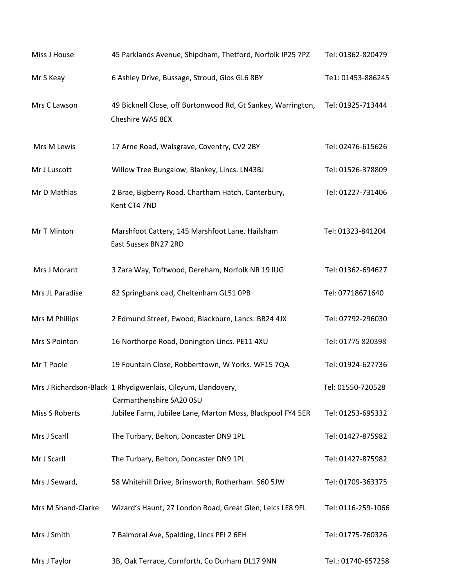| Miss J House       | 45 Parklands Avenue, Shipdham, Thetford, Norfolk IP25 7PZ                                | Tel: 01362-820479  |
|--------------------|------------------------------------------------------------------------------------------|--------------------|
| Mr S Keay          | 6 Ashley Drive, Bussage, Stroud, Glos GL6 8BY                                            | Te1: 01453-886245  |
| Mrs C Lawson       | 49 Bicknell Close, off Burtonwood Rd, Gt Sankey, Warrington,<br>Cheshire WA5 8EX         | Tel: 01925-713444  |
| Mrs M Lewis        | 17 Arne Road, Walsgrave, Coventry, CV2 2BY                                               | Tel: 02476-615626  |
| Mr J Luscott       | Willow Tree Bungalow, Blankey, Lincs. LN43BJ                                             | Tel: 01526-378809  |
| Mr D Mathias       | 2 Brae, Bigberry Road, Chartham Hatch, Canterbury,<br>Kent CT4 7ND                       | Tel: 01227-731406  |
| Mr T Minton        | Marshfoot Cattery, 145 Marshfoot Lane. Hailsham<br>East Sussex BN27 2RD                  | Tel: 01323-841204  |
| Mrs J Morant       | 3 Zara Way, Toftwood, Dereham, Norfolk NR 19 IUG                                         | Tel: 01362-694627  |
| Mrs JL Paradise    | 82 Springbank oad, Cheltenham GL51 OPB                                                   | Tel: 07718671640   |
| Mrs M Phillips     | 2 Edmund Street, Ewood, Blackburn, Lancs. BB24 4JX                                       | Tel: 07792-296030  |
| Mrs S Pointon      | 16 Northorpe Road, Donington Lincs. PE11 4XU                                             | Tel: 01775 820398  |
| Mr T Poole         | 19 Fountain Close, Robberttown, W Yorks. WF15 7QA                                        | Tel: 01924-627736  |
|                    | Mrs J Richardson-Black 1 Rhydigwenlais, Cilcyum, Llandovery,<br>Carmarthenshire SA20 0SU | Tel: 01550-720528  |
| Miss S Roberts     | Jubilee Farm, Jubilee Lane, Marton Moss, Blackpool FY4 5ER                               | Tel: 01253-695332  |
| Mrs J Scarll       | The Turbary, Belton, Doncaster DN9 1PL                                                   | Tel: 01427-875982  |
| Mr J Scarll        | The Turbary, Belton, Doncaster DN9 1PL                                                   | Tel: 01427-875982  |
| Mrs J Seward,      | 58 Whitehill Drive, Brinsworth, Rotherham. S60 5JW                                       | Tel: 01709-363375  |
| Mrs M Shand-Clarke | Wizard's Haunt, 27 London Road, Great Glen, Leics LE8 9FL                                | Tel: 0116-259-1066 |
| Mrs J Smith        | 7 Balmoral Ave, Spalding, Lincs PEI 2 6EH                                                | Tel: 01775-760326  |
| Mrs J Taylor       | 3B, Oak Terrace, Cornforth, Co Durham DL17 9NN                                           | Tel.: 01740-657258 |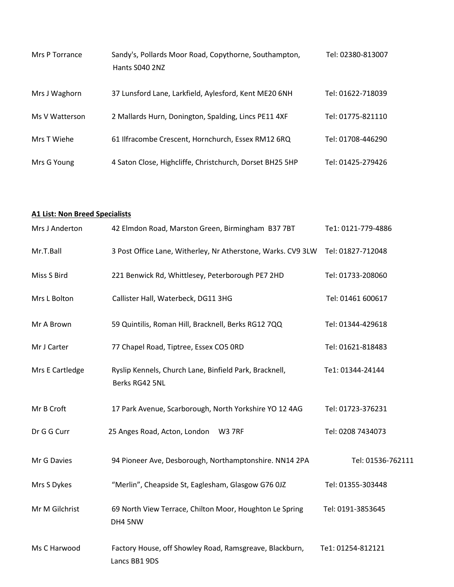| Mrs P Torrance | Sandy's, Pollards Moor Road, Copythorne, Southampton,<br>Hants S040 2NZ | Tel: 02380-813007 |
|----------------|-------------------------------------------------------------------------|-------------------|
| Mrs J Waghorn  | 37 Lunsford Lane, Larkfield, Aylesford, Kent ME20 6NH                   | Tel: 01622-718039 |
| Ms V Watterson | 2 Mallards Hurn, Donington, Spalding, Lincs PE11 4XF                    | Tel: 01775-821110 |
| Mrs T Wiehe    | 61 Ilfracombe Crescent, Hornchurch, Essex RM12 6RQ                      | Tel: 01708-446290 |
| Mrs G Young    | 4 Saton Close, Highcliffe, Christchurch, Dorset BH25 5HP                | Tel: 01425-279426 |

# **A1 List: Non Breed Specialists**

| Mrs J Anderton  | 42 Elmdon Road, Marston Green, Birmingham B37 7BT                        | Te1: 0121-779-4886 |
|-----------------|--------------------------------------------------------------------------|--------------------|
| Mr.T.Ball       | 3 Post Office Lane, Witherley, Nr Atherstone, Warks. CV9 3LW             | Tel: 01827-712048  |
| Miss S Bird     | 221 Benwick Rd, Whittlesey, Peterborough PE7 2HD                         | Tel: 01733-208060  |
| Mrs L Bolton    | Callister Hall, Waterbeck, DG11 3HG                                      | Tel: 01461 600617  |
| Mr A Brown      | 59 Quintilis, Roman Hill, Bracknell, Berks RG12 7QQ                      | Tel: 01344-429618  |
| Mr J Carter     | 77 Chapel Road, Tiptree, Essex CO5 ORD                                   | Tel: 01621-818483  |
| Mrs E Cartledge | Ryslip Kennels, Church Lane, Binfield Park, Bracknell,<br>Berks RG42 5NL | Te1: 01344-24144   |
| Mr B Croft      | 17 Park Avenue, Scarborough, North Yorkshire YO 12 4AG                   | Tel: 01723-376231  |
| Dr G G Curr     | 25 Anges Road, Acton, London<br><b>W3 7RF</b>                            | Tel: 0208 7434073  |
| Mr G Davies     | 94 Pioneer Ave, Desborough, Northamptonshire. NN14 2PA                   | Tel: 01536-762111  |
| Mrs S Dykes     | "Merlin", Cheapside St, Eaglesham, Glasgow G76 0JZ                       | Tel: 01355-303448  |
| Mr M Gilchrist  | 69 North View Terrace, Chilton Moor, Houghton Le Spring<br>DH4 5NW       | Tel: 0191-3853645  |
| Ms C Harwood    | Factory House, off Showley Road, Ramsgreave, Blackburn,<br>Lancs BB1 9DS | Te1: 01254-812121  |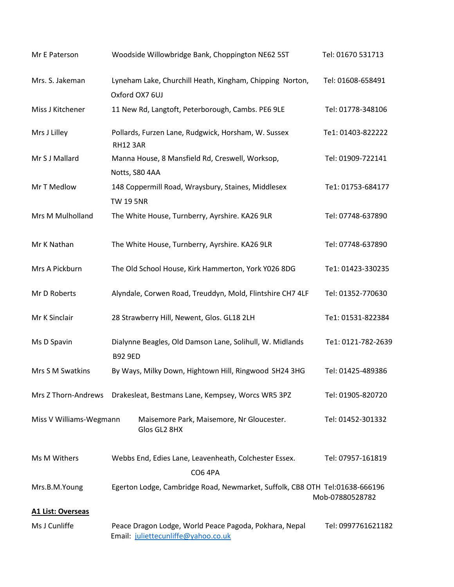| Mr E Paterson            | Woodside Willowbridge Bank, Choppington NE62 5ST                                              | Tel: 01670 531713  |
|--------------------------|-----------------------------------------------------------------------------------------------|--------------------|
| Mrs. S. Jakeman          | Lyneham Lake, Churchill Heath, Kingham, Chipping Norton,<br>Oxford OX7 6UJ                    | Tel: 01608-658491  |
| Miss J Kitchener         | 11 New Rd, Langtoft, Peterborough, Cambs. PE6 9LE                                             | Tel: 01778-348106  |
| Mrs J Lilley             | Pollards, Furzen Lane, Rudgwick, Horsham, W. Sussex<br><b>RH12 3AR</b>                        | Te1: 01403-822222  |
| Mr S J Mallard           | Manna House, 8 Mansfield Rd, Creswell, Worksop,<br>Notts, S80 4AA                             | Tel: 01909-722141  |
| Mr T Medlow              | 148 Coppermill Road, Wraysbury, Staines, Middlesex<br><b>TW 19 5NR</b>                        | Te1: 01753-684177  |
| Mrs M Mulholland         | The White House, Turnberry, Ayrshire. KA26 9LR                                                | Tel: 07748-637890  |
| Mr K Nathan              | The White House, Turnberry, Ayrshire. KA26 9LR                                                | Tel: 07748-637890  |
| Mrs A Pickburn           | The Old School House, Kirk Hammerton, York Y026 8DG                                           | Te1: 01423-330235  |
| Mr D Roberts             | Alyndale, Corwen Road, Treuddyn, Mold, Flintshire CH7 4LF                                     | Tel: 01352-770630  |
| Mr K Sinclair            | 28 Strawberry Hill, Newent, Glos. GL18 2LH                                                    | Te1: 01531-822384  |
| Ms D Spavin              | Dialynne Beagles, Old Damson Lane, Solihull, W. Midlands<br><b>B92 9ED</b>                    | Te1: 0121-782-2639 |
| Mrs S M Swatkins         | By Ways, Milky Down, Hightown Hill, Ringwood SH24 3HG                                         | Tel: 01425-489386  |
| Mrs Z Thorn-Andrews      | Drakesleat, Bestmans Lane, Kempsey, Worcs WR5 3PZ                                             | Tel: 01905-820720  |
| Miss V Williams-Wegmann  | Maisemore Park, Maisemore, Nr Gloucester.<br>Glos GL2 8HX                                     | Tel: 01452-301332  |
| Ms M Withers             | Webbs End, Edies Lane, Leavenheath, Colchester Essex.<br><b>CO6 4PA</b>                       | Tel: 07957-161819  |
| Mrs.B.M.Young            | Egerton Lodge, Cambridge Road, Newmarket, Suffolk, CB8 OTH Tel:01638-666196                   | Mob-07880528782    |
| <b>A1 List: Overseas</b> |                                                                                               |                    |
| Ms J Cunliffe            | Peace Dragon Lodge, World Peace Pagoda, Pokhara, Nepal<br>Email: juliettecunliffe@yahoo.co.uk | Tel: 0997761621182 |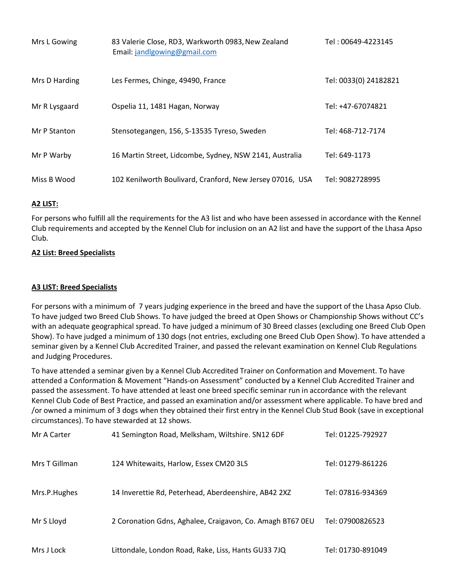| Mrs L Gowing  | 83 Valerie Close, RD3, Warkworth 0983, New Zealand<br>Email: jandlgowing@gmail.com | Tel: 00649-4223145    |
|---------------|------------------------------------------------------------------------------------|-----------------------|
| Mrs D Harding | Les Fermes, Chinge, 49490, France                                                  | Tel: 0033(0) 24182821 |
| Mr R Lysgaard | Ospelia 11, 1481 Hagan, Norway                                                     | Tel: +47-67074821     |
| Mr P Stanton  | Stensotegangen, 156, S-13535 Tyreso, Sweden                                        | Tel: 468-712-7174     |
| Mr P Warby    | 16 Martin Street, Lidcombe, Sydney, NSW 2141, Australia                            | Tel: 649-1173         |
| Miss B Wood   | 102 Kenilworth Boulivard, Cranford, New Jersey 07016, USA                          | Tel: 9082728995       |

# **A2 LIST:**

For persons who fulfill all the requirements for the A3 list and who have been assessed in accordance with the Kennel Club requirements and accepted by the Kennel Club for inclusion on an A2 list and have the support of the Lhasa Apso Club.

# **A2 List: Breed Specialists**

## **A3 LIST: Breed Specialists**

For persons with a minimum of 7 years judging experience in the breed and have the support of the Lhasa Apso Club. To have judged two Breed Club Shows. To have judged the breed at Open Shows or Championship Shows without CC's with an adequate geographical spread. To have judged a minimum of 30 Breed classes (excluding one Breed Club Open Show). To have judged a minimum of 130 dogs (not entries, excluding one Breed Club Open Show). To have attended a seminar given by a Kennel Club Accredited Trainer, and passed the relevant examination on Kennel Club Regulations and Judging Procedures.

To have attended a seminar given by a Kennel Club Accredited Trainer on Conformation and Movement. To have attended a Conformation & Movement "Hands-on Assessment" conducted by a Kennel Club Accredited Trainer and passed the assessment. To have attended at least one breed specific seminar run in accordance with the relevant Kennel Club Code of Best Practice, and passed an examination and/or assessment where applicable. To have bred and /or owned a minimum of 3 dogs when they obtained their first entry in the Kennel Club Stud Book (save in exceptional circumstances). To have stewarded at 12 shows.

| Mr A Carter   | 41 Semington Road, Melksham, Wiltshire. SN12 6DF          | Tel: 01225-792927 |
|---------------|-----------------------------------------------------------|-------------------|
| Mrs T Gillman | 124 Whitewaits, Harlow, Essex CM20 3LS                    | Tel: 01279-861226 |
| Mrs.P.Hughes  | 14 Inverettie Rd, Peterhead, Aberdeenshire, AB42 2XZ      | Tel: 07816-934369 |
| Mr S Lloyd    | 2 Coronation Gdns, Aghalee, Craigavon, Co. Amagh BT67 0EU | Tel: 07900826523  |
| Mrs J Lock    | Littondale, London Road, Rake, Liss, Hants GU33 7JQ       | Tel: 01730-891049 |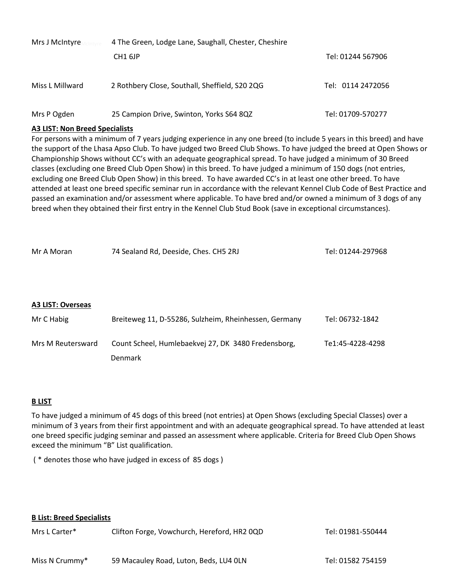| Mrs J McIntyre  | 4 The Green, Lodge Lane, Saughall, Chester, Cheshire |                   |  |
|-----------------|------------------------------------------------------|-------------------|--|
|                 | CH <sub>1</sub> 6JP                                  | Tel: 01244 567906 |  |
| Miss L Millward | 2 Rothbery Close, Southall, Sheffield, S20 2QG       | Tel: 0114 2472056 |  |
| Mrs P Ogden     | 25 Campion Drive, Swinton, Yorks S64 8QZ             | Tel: 01709-570277 |  |

## **A3 LIST: Non Breed Specialists**

For persons with a minimum of 7 years judging experience in any one breed (to include 5 years in this breed) and have the support of the Lhasa Apso Club. To have judged two Breed Club Shows. To have judged the breed at Open Shows or Championship Shows without CC's with an adequate geographical spread. To have judged a minimum of 30 Breed classes (excluding one Breed Club Open Show) in this breed. To have judged a minimum of 150 dogs (not entries, excluding one Breed Club Open Show) in this breed. To have awarded CC's in at least one other breed. To have attended at least one breed specific seminar run in accordance with the relevant Kennel Club Code of Best Practice and passed an examination and/or assessment where applicable. To have bred and/or owned a minimum of 3 dogs of any breed when they obtained their first entry in the Kennel Club Stud Book (save in exceptional circumstances).

| Mr A Moran               | 74 Sealand Rd, Deeside, Ches. CH5 2RJ                 | Tel: 01244-297968 |
|--------------------------|-------------------------------------------------------|-------------------|
|                          |                                                       |                   |
|                          |                                                       |                   |
| <b>A3 LIST: Overseas</b> |                                                       |                   |
| Mr C Habig               | Breiteweg 11, D-55286, Sulzheim, Rheinhessen, Germany | Tel: 06732-1842   |
| Mrs M Reutersward        | Count Scheel, Humlebaekvej 27, DK 3480 Fredensborg,   | Te1:45-4228-4298  |
|                          | Denmark                                               |                   |

## **B LIST**

To have judged a minimum of 45 dogs of this breed (not entries) at Open Shows (excluding Special Classes) over a minimum of 3 years from their first appointment and with an adequate geographical spread. To have attended at least one breed specific judging seminar and passed an assessment where applicable. Criteria for Breed Club Open Shows exceed the minimum "B" List qualification.

( \* denotes those who have judged in excess of 85 dogs )

## **B List: Breed Specialists**

| Mrs L Carter*  | Clifton Forge, Vowchurch, Hereford, HR20QD | Tel: 01981-550444 |
|----------------|--------------------------------------------|-------------------|
| Miss N Crummy* | 59 Macauley Road, Luton, Beds, LU4 OLN     | Tel: 01582 754159 |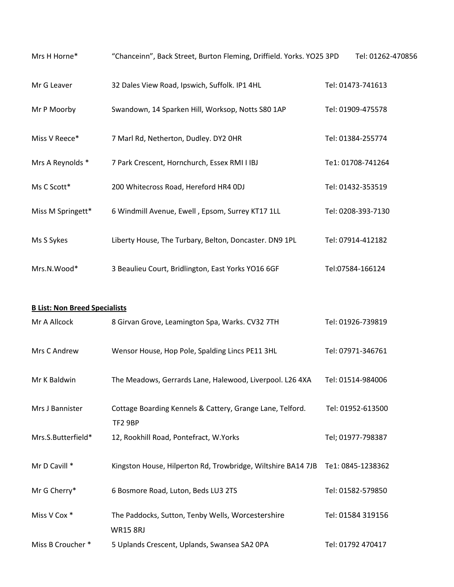| Mrs H Horne*                         | "Chanceinn", Back Street, Burton Fleming, Driffield. Yorks. YO25 3PD        | Tel: 01262-470856  |
|--------------------------------------|-----------------------------------------------------------------------------|--------------------|
| Mr G Leaver                          | 32 Dales View Road, Ipswich, Suffolk. IP1 4HL                               | Tel: 01473-741613  |
| Mr P Moorby                          | Swandown, 14 Sparken Hill, Worksop, Notts S80 1AP                           | Tel: 01909-475578  |
| Miss V Reece*                        | 7 Marl Rd, Netherton, Dudley. DY2 OHR                                       | Tel: 01384-255774  |
| Mrs A Reynolds *                     | 7 Park Crescent, Hornchurch, Essex RMI I IBJ                                | Te1: 01708-741264  |
| Ms C Scott*                          | 200 Whitecross Road, Hereford HR4 0DJ                                       | Tel: 01432-353519  |
| Miss M Springett*                    | 6 Windmill Avenue, Ewell, Epsom, Surrey KT17 1LL                            | Tel: 0208-393-7130 |
| Ms S Sykes                           | Liberty House, The Turbary, Belton, Doncaster. DN9 1PL                      | Tel: 07914-412182  |
| Mrs.N.Wood*                          | 3 Beaulieu Court, Bridlington, East Yorks YO16 6GF                          | Tel:07584-166124   |
| <b>B List: Non Breed Specialists</b> |                                                                             |                    |
| Mr A Allcock                         | 8 Girvan Grove, Leamington Spa, Warks. CV32 7TH                             | Tel: 01926-739819  |
| Mrs C Andrew                         | Wensor House, Hop Pole, Spalding Lincs PE11 3HL                             | Tel: 07971-346761  |
| Mr K Baldwin                         | The Meadows, Gerrards Lane, Halewood, Liverpool. L26 4XA                    | Tel: 01514-984006  |
| Mrs J Bannister                      | Cottage Boarding Kennels & Cattery, Grange Lane, Telford.<br><b>TF2 9BP</b> | Tel: 01952-613500  |
| Mrs.S.Butterfield*                   | 12, Rookhill Road, Pontefract, W.Yorks                                      | Tel; 01977-798387  |
| Mr D Cavill *                        | Kingston House, Hilperton Rd, Trowbridge, Wiltshire BA14 7JB                | Te1: 0845-1238362  |
| Mr G Cherry*                         | 6 Bosmore Road, Luton, Beds LU3 2TS                                         | Tel: 01582-579850  |
| Miss V Cox *                         | The Paddocks, Sutton, Tenby Wells, Worcestershire<br><b>WR15 8RJ</b>        | Tel: 01584 319156  |
| Miss B Croucher *                    | 5 Uplands Crescent, Uplands, Swansea SA2 OPA                                | Tel: 01792 470417  |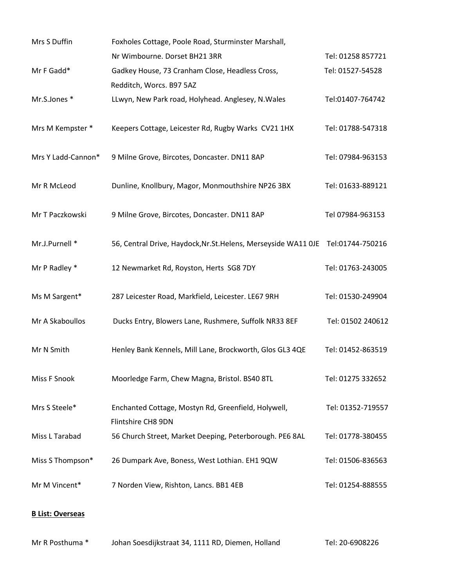| Mrs S Duffin            | Foxholes Cottage, Poole Road, Sturminster Marshall,                       |                   |
|-------------------------|---------------------------------------------------------------------------|-------------------|
|                         | Nr Wimbourne. Dorset BH21 3RR                                             | Tel: 01258 857721 |
| Mr F Gadd*              | Gadkey House, 73 Cranham Close, Headless Cross,                           | Tel: 01527-54528  |
|                         | Redditch, Worcs. B97 5AZ                                                  |                   |
| Mr.S.Jones*             | LLwyn, New Park road, Holyhead. Anglesey, N.Wales                         | Tel:01407-764742  |
| Mrs M Kempster *        | Keepers Cottage, Leicester Rd, Rugby Warks CV21 1HX                       | Tel: 01788-547318 |
| Mrs Y Ladd-Cannon*      | 9 Milne Grove, Bircotes, Doncaster. DN11 8AP                              | Tel: 07984-963153 |
| Mr R McLeod             | Dunline, Knollbury, Magor, Monmouthshire NP26 3BX                         | Tel: 01633-889121 |
| Mr T Paczkowski         | 9 Milne Grove, Bircotes, Doncaster. DN11 8AP                              | Tel 07984-963153  |
| Mr.J.Purnell *          | 56, Central Drive, Haydock, Nr. St. Helens, Merseyside WA11 OJE           | Tel:01744-750216  |
| Mr P Radley *           | 12 Newmarket Rd, Royston, Herts SG8 7DY                                   | Tel: 01763-243005 |
| Ms M Sargent*           | 287 Leicester Road, Markfield, Leicester. LE67 9RH                        | Tel: 01530-249904 |
| Mr A Skaboullos         | Ducks Entry, Blowers Lane, Rushmere, Suffolk NR33 8EF                     | Tel: 01502 240612 |
| Mr N Smith              | Henley Bank Kennels, Mill Lane, Brockworth, Glos GL3 4QE                  | Tel: 01452-863519 |
| <b>Miss F Snook</b>     | Moorledge Farm, Chew Magna, Bristol. BS40 8TL                             | Tel: 01275 332652 |
| Mrs S Steele*           | Enchanted Cottage, Mostyn Rd, Greenfield, Holywell,<br>Flintshire CH8 9DN | Tel: 01352-719557 |
| Miss L Tarabad          | 56 Church Street, Market Deeping, Peterborough. PE6 8AL                   | Tel: 01778-380455 |
| Miss S Thompson*        | 26 Dumpark Ave, Boness, West Lothian. EH1 9QW                             | Tel: 01506-836563 |
| Mr M Vincent*           | 7 Norden View, Rishton, Lancs. BB1 4EB                                    | Tel: 01254-888555 |
| <b>B List: Overseas</b> |                                                                           |                   |

# Mr R Posthuma \* Johan Soesdijkstraat 34, 1111 RD, Diemen, Holland Tel: 20-6908226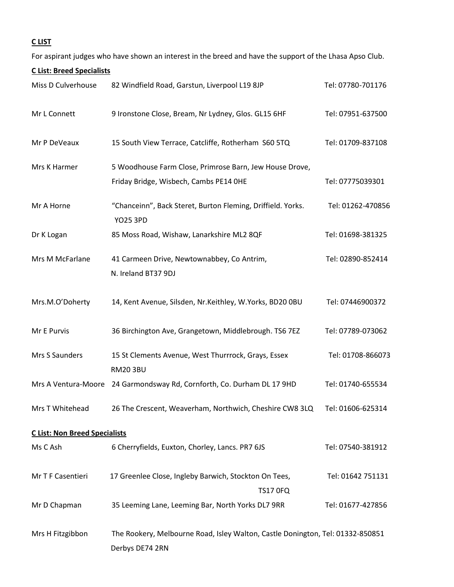# **C LIST**

For aspirant judges who have shown an interest in the breed and have the support of the Lhasa Apso Club.

| <b>CList: Breed Specialists</b>      |                                                                                                   |                   |
|--------------------------------------|---------------------------------------------------------------------------------------------------|-------------------|
| Miss D Culverhouse                   | 82 Windfield Road, Garstun, Liverpool L19 8JP                                                     | Tel: 07780-701176 |
| Mr L Connett                         | 9 Ironstone Close, Bream, Nr Lydney, Glos. GL15 6HF                                               | Tel: 07951-637500 |
| Mr P DeVeaux                         | 15 South View Terrace, Catcliffe, Rotherham S60 5TQ                                               | Tel: 01709-837108 |
| Mrs K Harmer                         | 5 Woodhouse Farm Close, Primrose Barn, Jew House Drove,                                           |                   |
|                                      | Friday Bridge, Wisbech, Cambs PE14 OHE                                                            | Tel: 07775039301  |
| Mr A Horne                           | "Chanceinn", Back Steret, Burton Fleming, Driffield. Yorks.<br><b>YO25 3PD</b>                    | Tel: 01262-470856 |
| Dr K Logan                           | 85 Moss Road, Wishaw, Lanarkshire ML2 8QF                                                         | Tel: 01698-381325 |
| Mrs M McFarlane                      | 41 Carmeen Drive, Newtownabbey, Co Antrim,<br>N. Ireland BT37 9DJ                                 | Tel: 02890-852414 |
| Mrs.M.O'Doherty                      | 14, Kent Avenue, Silsden, Nr.Keithley, W.Yorks, BD20 0BU                                          | Tel: 07446900372  |
| Mr E Purvis                          | 36 Birchington Ave, Grangetown, Middlebrough. TS6 7EZ                                             | Tel: 07789-073062 |
| Mrs S Saunders                       | 15 St Clements Avenue, West Thurrrock, Grays, Essex<br><b>RM20 3BU</b>                            | Tel: 01708-866073 |
| Mrs A Ventura-Moore                  | 24 Garmondsway Rd, Cornforth, Co. Durham DL 17 9HD                                                | Tel: 01740-655534 |
| Mrs T Whitehead                      | 26 The Crescent, Weaverham, Northwich, Cheshire CW8 3LQ                                           | Tel: 01606-625314 |
| <b>C List: Non Breed Specialists</b> |                                                                                                   |                   |
| Ms C Ash                             | 6 Cherryfields, Euxton, Chorley, Lancs. PR7 6JS                                                   | Tel: 07540-381912 |
| Mr T F Casentieri                    | 17 Greenlee Close, Ingleby Barwich, Stockton On Tees,<br><b>TS17 0FQ</b>                          | Tel: 01642 751131 |
| Mr D Chapman                         | 35 Leeming Lane, Leeming Bar, North Yorks DL7 9RR                                                 | Tel: 01677-427856 |
| Mrs H Fitzgibbon                     | The Rookery, Melbourne Road, Isley Walton, Castle Donington, Tel: 01332-850851<br>Derbys DE74 2RN |                   |